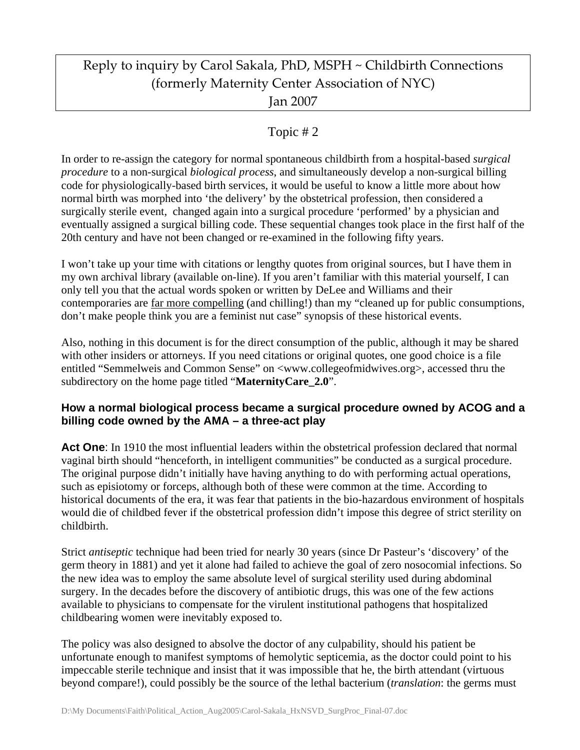# Reply to inquiry by Carol Sakala, PhD, MSPH ~ Childbirth Connections (formerly Maternity Center Association of NYC) Jan 2007

# Topic # 2

In order to re-assign the category for normal spontaneous childbirth from a hospital-based *surgical procedure* to a non-surgical *biological process*, and simultaneously develop a non-surgical billing code for physiologically-based birth services, it would be useful to know a little more about how normal birth was morphed into 'the delivery' by the obstetrical profession, then considered a surgically sterile event, changed again into a surgical procedure 'performed' by a physician and eventually assigned a surgical billing code. These sequential changes took place in the first half of the 20th century and have not been changed or re-examined in the following fifty years.

I won't take up your time with citations or lengthy quotes from original sources, but I have them in my own archival library (available on-line). If you aren't familiar with this material yourself, I can only tell you that the actual words spoken or written by DeLee and Williams and their contemporaries are far more compelling (and chilling!) than my "cleaned up for public consumptions, don't make people think you are a feminist nut case" synopsis of these historical events.

Also, nothing in this document is for the direct consumption of the public, although it may be shared with other insiders or attorneys. If you need citations or original quotes, one good choice is a file entitled "Semmelweis and Common Sense" on <www.collegeofmidwives.org>, accessed thru the subdirectory on the home page titled "**MaternityCare\_2.0**".

## **How a normal biological process became a surgical procedure owned by ACOG and a billing code owned by the AMA – a three-act play**

Act One: In 1910 the most influential leaders within the obstetrical profession declared that normal vaginal birth should "henceforth, in intelligent communities" be conducted as a surgical procedure. The original purpose didn't initially have having anything to do with performing actual operations, such as episiotomy or forceps, although both of these were common at the time. According to historical documents of the era, it was fear that patients in the bio-hazardous environment of hospitals would die of childbed fever if the obstetrical profession didn't impose this degree of strict sterility on childbirth.

Strict *antiseptic* technique had been tried for nearly 30 years (since Dr Pasteur's 'discovery' of the germ theory in 1881) and yet it alone had failed to achieve the goal of zero nosocomial infections. So the new idea was to employ the same absolute level of surgical sterility used during abdominal surgery. In the decades before the discovery of antibiotic drugs, this was one of the few actions available to physicians to compensate for the virulent institutional pathogens that hospitalized childbearing women were inevitably exposed to.

The policy was also designed to absolve the doctor of any culpability, should his patient be unfortunate enough to manifest symptoms of hemolytic septicemia, as the doctor could point to his impeccable sterile technique and insist that it was impossible that he, the birth attendant (virtuous beyond compare!), could possibly be the source of the lethal bacterium (*translation*: the germs must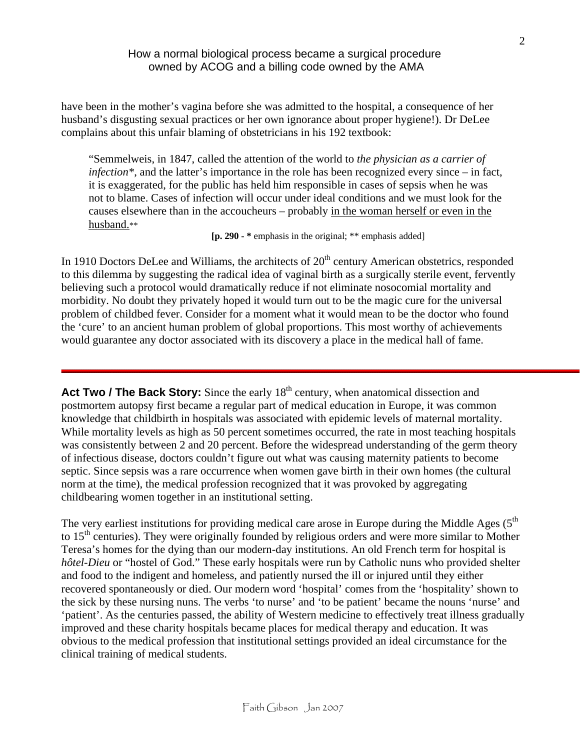have been in the mother's vagina before she was admitted to the hospital, a consequence of her husband's disgusting sexual practices or her own ignorance about proper hygiene!). Dr DeLee complains about this unfair blaming of obstetricians in his 192 textbook:

"Semmelweis, in 1847, called the attention of the world to *the physician as a carrier of infection\**, and the latter's importance in the role has been recognized every since – in fact, it is exaggerated, for the public has held him responsible in cases of sepsis when he was not to blame. Cases of infection will occur under ideal conditions and we must look for the causes elsewhere than in the accoucheurs – probably in the woman herself or even in the husband.\*\*

 **[p. 290 - \*** emphasis in the original; \*\* emphasis added]

In 1910 Doctors DeLee and Williams, the architects of 20<sup>th</sup> century American obstetrics, responded to this dilemma by suggesting the radical idea of vaginal birth as a surgically sterile event, fervently believing such a protocol would dramatically reduce if not eliminate nosocomial mortality and morbidity. No doubt they privately hoped it would turn out to be the magic cure for the universal problem of childbed fever. Consider for a moment what it would mean to be the doctor who found the 'cure' to an ancient human problem of global proportions. This most worthy of achievements would guarantee any doctor associated with its discovery a place in the medical hall of fame.

Act Two / The Back Story: Since the early 18<sup>th</sup> century, when anatomical dissection and postmortem autopsy first became a regular part of medical education in Europe, it was common knowledge that childbirth in hospitals was associated with epidemic levels of maternal mortality. While mortality levels as high as 50 percent sometimes occurred, the rate in most teaching hospitals was consistently between 2 and 20 percent. Before the widespread understanding of the germ theory of infectious disease, doctors couldn't figure out what was causing maternity patients to become septic. Since sepsis was a rare occurrence when women gave birth in their own homes (the cultural norm at the time), the medical profession recognized that it was provoked by aggregating childbearing women together in an institutional setting.

The very earliest institutions for providing medical care arose in Europe during the Middle Ages  $(5<sup>th</sup>$ to  $15<sup>th</sup>$  centuries). They were originally founded by religious orders and were more similar to Mother Teresa's homes for the dying than our modern-day institutions. An old French term for hospital is *hôtel-Dieu* or "hostel of God." These early hospitals were run by Catholic nuns who provided shelter and food to the indigent and homeless, and patiently nursed the ill or injured until they either recovered spontaneously or died. Our modern word 'hospital' comes from the 'hospitality' shown to the sick by these nursing nuns. The verbs 'to nurse' and 'to be patient' became the nouns 'nurse' and 'patient'. As the centuries passed, the ability of Western medicine to effectively treat illness gradually improved and these charity hospitals became places for medical therapy and education. It was obvious to the medical profession that institutional settings provided an ideal circumstance for the clinical training of medical students.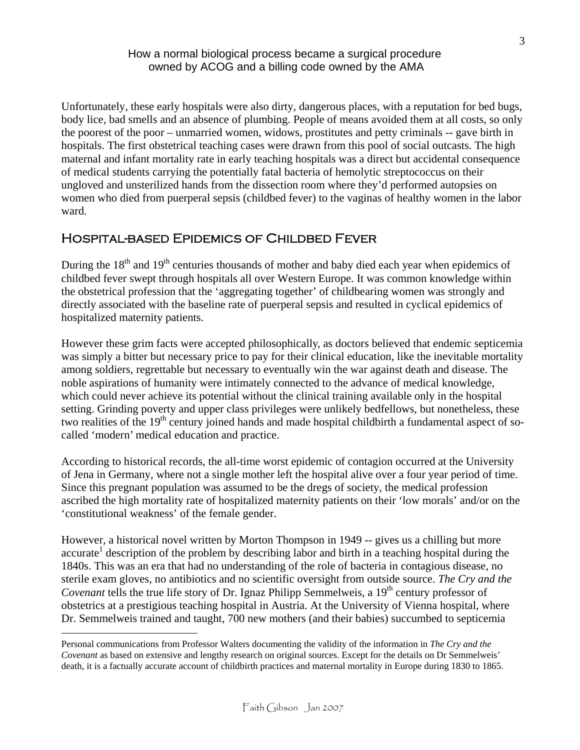Unfortunately, these early hospitals were also dirty, dangerous places, with a reputation for bed bugs, body lice, bad smells and an absence of plumbing. People of means avoided them at all costs, so only the poorest of the poor – unmarried women, widows, prostitutes and petty criminals -- gave birth in hospitals. The first obstetrical teaching cases were drawn from this pool of social outcasts. The high maternal and infant mortality rate in early teaching hospitals was a direct but accidental consequence of medical students carrying the potentially fatal bacteria of hemolytic streptococcus on their ungloved and unsterilized hands from the dissection room where they'd performed autopsies on women who died from puerperal sepsis (childbed fever) to the vaginas of healthy women in the labor ward.

# Hospital-based Epidemics of Childbed Fever

During the  $18<sup>th</sup>$  and  $19<sup>th</sup>$  centuries thousands of mother and baby died each year when epidemics of childbed fever swept through hospitals all over Western Europe. It was common knowledge within the obstetrical profession that the 'aggregating together' of childbearing women was strongly and directly associated with the baseline rate of puerperal sepsis and resulted in cyclical epidemics of hospitalized maternity patients.

However these grim facts were accepted philosophically, as doctors believed that endemic septicemia was simply a bitter but necessary price to pay for their clinical education, like the inevitable mortality among soldiers, regrettable but necessary to eventually win the war against death and disease. The noble aspirations of humanity were intimately connected to the advance of medical knowledge, which could never achieve its potential without the clinical training available only in the hospital setting. Grinding poverty and upper class privileges were unlikely bedfellows, but nonetheless, these two realities of the 19<sup>th</sup> century joined hands and made hospital childbirth a fundamental aspect of socalled 'modern' medical education and practice.

According to historical records, the all-time worst epidemic of contagion occurred at the University of Jena in Germany, where not a single mother left the hospital alive over a four year period of time. Since this pregnant population was assumed to be the dregs of society, the medical profession ascribed the high mortality rate of hospitalized maternity patients on their 'low morals' and/or on the 'constitutional weakness' of the female gender.

However, a historical novel written by Morton Thompson in 1949 -- gives us a chilling but more accurate<sup>1</sup> description of the problem by describing labor and birth in a teaching hospital during the 1840s. This was an era that had no understanding of the role of bacteria in contagious disease, no sterile exam gloves, no antibiotics and no scientific oversight from outside source. *The Cry and the Covenant* tells the true life story of Dr. Ignaz Philipp Semmelweis, a 19<sup>th</sup> century professor of obstetrics at a prestigious teaching hospital in Austria. At the University of Vienna hospital, where Dr. Semmelweis trained and taught, 700 new mothers (and their babies) succumbed to septicemia

 $\overline{a}$ 

<span id="page-2-0"></span>Personal communications from Professor Walters documenting the validity of the information in *The Cry and the Covenant* as based on extensive and lengthy research on original sources. Except for the details on Dr Semmelweis' death, it is a factually accurate account of childbirth practices and maternal mortality in Europe during 1830 to 1865.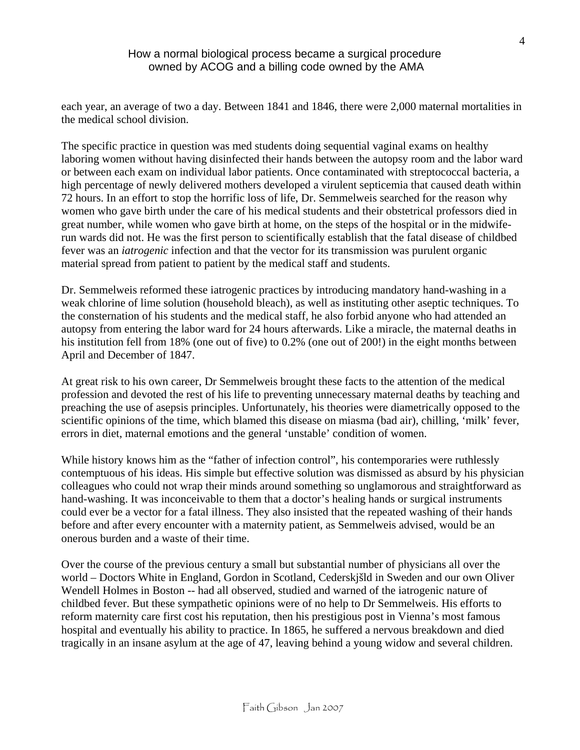each year, an average of two a day. Between 1841 and 1846, there were 2,000 maternal mortalities in the medical school division.

The specific practice in question was med students doing sequential vaginal exams on healthy laboring women without having disinfected their hands between the autopsy room and the labor ward or between each exam on individual labor patients. Once contaminated with streptococcal bacteria, a high percentage of newly delivered mothers developed a virulent septicemia that caused death within 72 hours. In an effort to stop the horrific loss of life, Dr. Semmelweis searched for the reason why women who gave birth under the care of his medical students and their obstetrical professors died in great number, while women who gave birth at home, on the steps of the hospital or in the midwiferun wards did not. He was the first person to scientifically establish that the fatal disease of childbed fever was an *iatrogenic* infection and that the vector for its transmission was purulent organic material spread from patient to patient by the medical staff and students.

Dr. Semmelweis reformed these iatrogenic practices by introducing mandatory hand-washing in a weak chlorine of lime solution (household bleach), as well as instituting other aseptic techniques. To the consternation of his students and the medical staff, he also forbid anyone who had attended an autopsy from entering the labor ward for 24 hours afterwards. Like a miracle, the maternal deaths in his institution fell from 18% (one out of five) to 0.2% (one out of 200!) in the eight months between April and December of 1847.

At great risk to his own career, Dr Semmelweis brought these facts to the attention of the medical profession and devoted the rest of his life to preventing unnecessary maternal deaths by teaching and preaching the use of asepsis principles. Unfortunately, his theories were diametrically opposed to the scientific opinions of the time, which blamed this disease on miasma (bad air), chilling, 'milk' fever, errors in diet, maternal emotions and the general 'unstable' condition of women.

While history knows him as the "father of infection control", his contemporaries were ruthlessly contemptuous of his ideas. His simple but effective solution was dismissed as absurd by his physician colleagues who could not wrap their minds around something so unglamorous and straightforward as hand-washing. It was inconceivable to them that a doctor's healing hands or surgical instruments could ever be a vector for a fatal illness. They also insisted that the repeated washing of their hands before and after every encounter with a maternity patient, as Semmelweis advised, would be an onerous burden and a waste of their time.

Over the course of the previous century a small but substantial number of physicians all over the world – Doctors White in England, Gordon in Scotland, Cederskjšld in Sweden and our own Oliver Wendell Holmes in Boston -- had all observed, studied and warned of the iatrogenic nature of childbed fever. But these sympathetic opinions were of no help to Dr Semmelweis. His efforts to reform maternity care first cost his reputation, then his prestigious post in Vienna's most famous hospital and eventually his ability to practice. In 1865, he suffered a nervous breakdown and died tragically in an insane asylum at the age of 47, leaving behind a young widow and several children.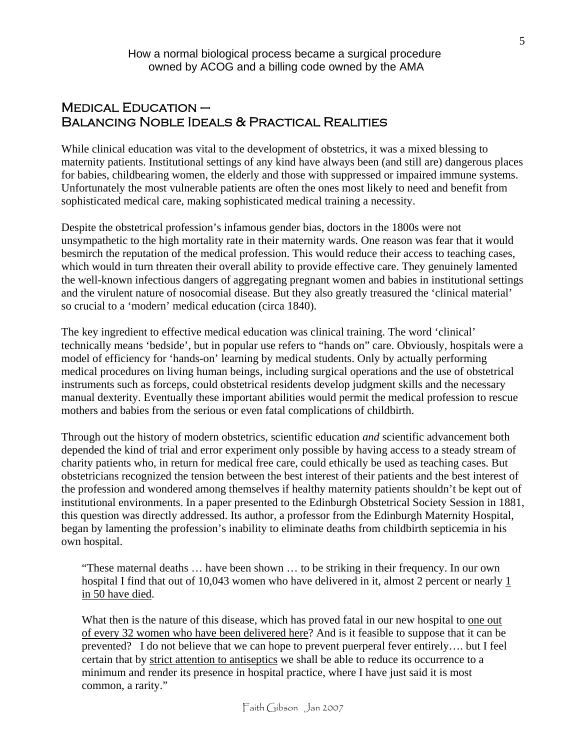# $M$ EDICAL EDUCATION  $-$ Balancing Noble Ideals & Practical Realities

While clinical education was vital to the development of obstetrics, it was a mixed blessing to maternity patients. Institutional settings of any kind have always been (and still are) dangerous places for babies, childbearing women, the elderly and those with suppressed or impaired immune systems. Unfortunately the most vulnerable patients are often the ones most likely to need and benefit from sophisticated medical care, making sophisticated medical training a necessity.

Despite the obstetrical profession's infamous gender bias, doctors in the 1800s were not unsympathetic to the high mortality rate in their maternity wards. One reason was fear that it would besmirch the reputation of the medical profession. This would reduce their access to teaching cases, which would in turn threaten their overall ability to provide effective care. They genuinely lamented the well-known infectious dangers of aggregating pregnant women and babies in institutional settings and the virulent nature of nosocomial disease. But they also greatly treasured the 'clinical material' so crucial to a 'modern' medical education (circa 1840).

The key ingredient to effective medical education was clinical training. The word 'clinical' technically means 'bedside', but in popular use refers to "hands on" care. Obviously, hospitals were a model of efficiency for 'hands-on' learning by medical students. Only by actually performing medical procedures on living human beings, including surgical operations and the use of obstetrical instruments such as forceps, could obstetrical residents develop judgment skills and the necessary manual dexterity. Eventually these important abilities would permit the medical profession to rescue mothers and babies from the serious or even fatal complications of childbirth.

Through out the history of modern obstetrics, scientific education *and* scientific advancement both depended the kind of trial and error experiment only possible by having access to a steady stream of charity patients who, in return for medical free care, could ethically be used as teaching cases. But obstetricians recognized the tension between the best interest of their patients and the best interest of the profession and wondered among themselves if healthy maternity patients shouldn't be kept out of institutional environments. In a paper presented to the Edinburgh Obstetrical Society Session in 1881, this question was directly addressed. Its author, a professor from the Edinburgh Maternity Hospital, began by lamenting the profession's inability to eliminate deaths from childbirth septicemia in his own hospital.

"These maternal deaths … have been shown … to be striking in their frequency. In our own hospital I find that out of 10,043 women who have delivered in it, almost 2 percent or nearly 1 in 50 have died.

What then is the nature of this disease, which has proved fatal in our new hospital to one out of every 32 women who have been delivered here? And is it feasible to suppose that it can be prevented? I do not believe that we can hope to prevent puerperal fever entirely…. but I feel certain that by strict attention to antiseptics we shall be able to reduce its occurrence to a minimum and render its presence in hospital practice, where I have just said it is most common, a rarity."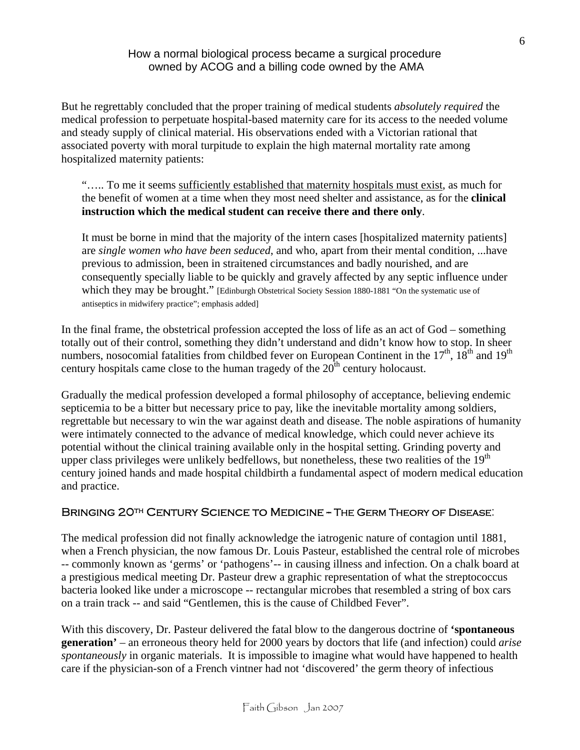But he regrettably concluded that the proper training of medical students *absolutely required* the medical profession to perpetuate hospital-based maternity care for its access to the needed volume and steady supply of clinical material. His observations ended with a Victorian rational that associated poverty with moral turpitude to explain the high maternal mortality rate among hospitalized maternity patients:

"..... To me it seems sufficiently established that maternity hospitals must exist, as much for the benefit of women at a time when they most need shelter and assistance, as for the **clinical instruction which the medical student can receive there and there only**.

It must be borne in mind that the majority of the intern cases [hospitalized maternity patients] are *single women who have been seduced*, and who, apart from their mental condition, ...have previous to admission, been in straitened circumstances and badly nourished, and are consequently specially liable to be quickly and gravely affected by any septic influence under which they may be brought." [Edinburgh Obstetrical Society Session 1880-1881 "On the systematic use of antiseptics in midwifery practice"; emphasis added]

In the final frame, the obstetrical profession accepted the loss of life as an act of God – something totally out of their control, something they didn't understand and didn't know how to stop. In sheer numbers, nosocomial fatalities from childbed fever on European Continent in the  $17<sup>th</sup>$ ,  $18<sup>th</sup>$  and  $19<sup>th</sup>$ century hospitals came close to the human tragedy of the  $20<sup>th</sup>$  century holocaust.

Gradually the medical profession developed a formal philosophy of acceptance, believing endemic septicemia to be a bitter but necessary price to pay, like the inevitable mortality among soldiers, regrettable but necessary to win the war against death and disease. The noble aspirations of humanity were intimately connected to the advance of medical knowledge, which could never achieve its potential without the clinical training available only in the hospital setting. Grinding poverty and upper class privileges were unlikely bedfellows, but nonetheless, these two realities of the  $19<sup>th</sup>$ century joined hands and made hospital childbirth a fundamental aspect of modern medical education and practice.

## BRINGING 20TH CENTURY SCIENCE TO MEDICINE -- THE GERM THEORY OF DISEASE.

The medical profession did not finally acknowledge the iatrogenic nature of contagion until 1881, when a French physician, the now famous Dr. Louis Pasteur, established the central role of microbes -- commonly known as 'germs' or 'pathogens'-- in causing illness and infection. On a chalk board at a prestigious medical meeting Dr. Pasteur drew a graphic representation of what the streptococcus bacteria looked like under a microscope -- rectangular microbes that resembled a string of box cars on a train track -- and said "Gentlemen, this is the cause of Childbed Fever".

With this discovery, Dr. Pasteur delivered the fatal blow to the dangerous doctrine of **'spontaneous generation'** – an erroneous theory held for 2000 years by doctors that life (and infection) could *arise spontaneously* in organic materials. It is impossible to imagine what would have happened to health care if the physician-son of a French vintner had not 'discovered' the germ theory of infectious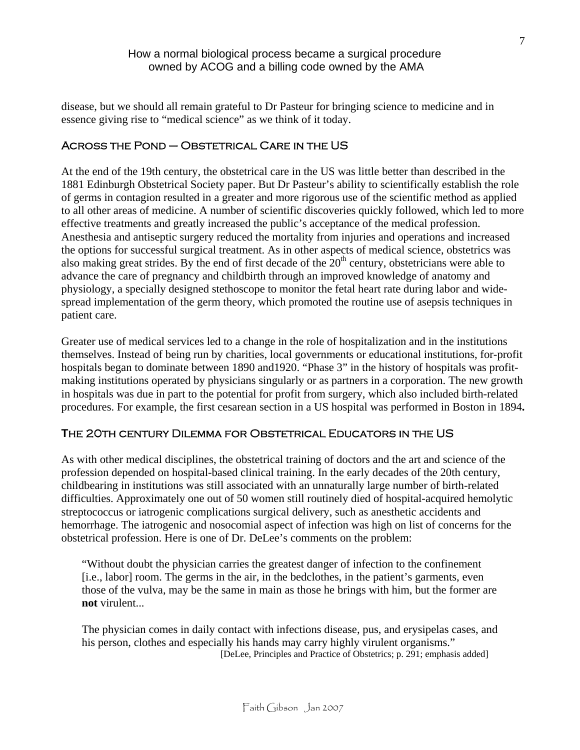disease, but we should all remain grateful to Dr Pasteur for bringing science to medicine and in essence giving rise to "medical science" as we think of it today.

## Across the Pond – Obstetrical Care in the US

At the end of the 19th century, the obstetrical care in the US was little better than described in the 1881 Edinburgh Obstetrical Society paper. But Dr Pasteur's ability to scientifically establish the role of germs in contagion resulted in a greater and more rigorous use of the scientific method as applied to all other areas of medicine. A number of scientific discoveries quickly followed, which led to more effective treatments and greatly increased the public's acceptance of the medical profession. Anesthesia and antiseptic surgery reduced the mortality from injuries and operations and increased the options for successful surgical treatment. As in other aspects of medical science, obstetrics was also making great strides. By the end of first decade of the  $20<sup>th</sup>$  century, obstetricians were able to advance the care of pregnancy and childbirth through an improved knowledge of anatomy and physiology, a specially designed stethoscope to monitor the fetal heart rate during labor and widespread implementation of the germ theory, which promoted the routine use of asepsis techniques in patient care.

Greater use of medical services led to a change in the role of hospitalization and in the institutions themselves. Instead of being run by charities, local governments or educational institutions, for-profit hospitals began to dominate between 1890 and1920. "Phase 3" in the history of hospitals was profitmaking institutions operated by physicians singularly or as partners in a corporation. The new growth in hospitals was due in part to the potential for profit from surgery, which also included birth-related procedures. For example, the first cesarean section in a US hospital was performed in Boston in 1894**.**

## **T**he 20th century Dilemma for Obstetrical Educators in the US

As with other medical disciplines, the obstetrical training of doctors and the art and science of the profession depended on hospital-based clinical training. In the early decades of the 20th century, childbearing in institutions was still associated with an unnaturally large number of birth-related difficulties. Approximately one out of 50 women still routinely died of hospital-acquired hemolytic streptococcus or iatrogenic complications surgical delivery, such as anesthetic accidents and hemorrhage. The iatrogenic and nosocomial aspect of infection was high on list of concerns for the obstetrical profession. Here is one of Dr. DeLee's comments on the problem:

"Without doubt the physician carries the greatest danger of infection to the confinement [i.e., labor] room. The germs in the air, in the bedclothes, in the patient's garments, even those of the vulva, may be the same in main as those he brings with him, but the former are **not** virulent...

The physician comes in daily contact with infections disease, pus, and erysipelas cases, and his person, clothes and especially his hands may carry highly virulent organisms."<br>[DeLee, Principles and Practice of Obstetrics; p. 291; emphasis added]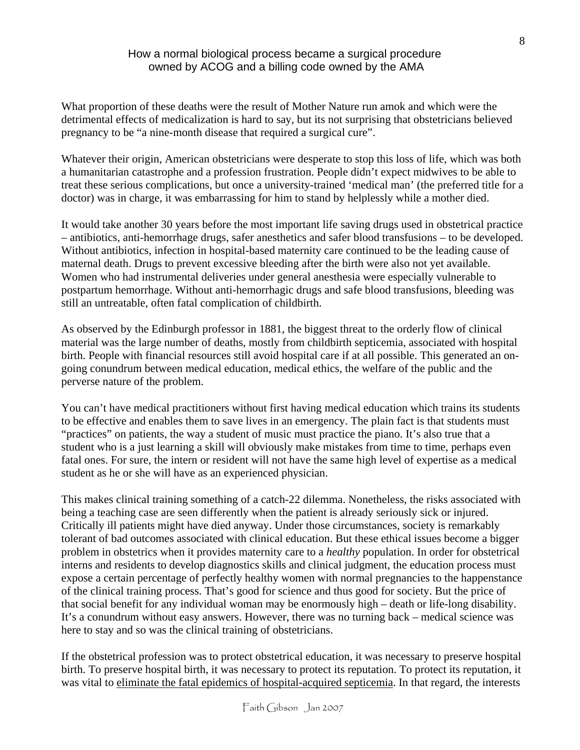What proportion of these deaths were the result of Mother Nature run amok and which were the detrimental effects of medicalization is hard to say, but its not surprising that obstetricians believed pregnancy to be "a nine-month disease that required a surgical cure".

Whatever their origin, American obstetricians were desperate to stop this loss of life, which was both a humanitarian catastrophe and a profession frustration. People didn't expect midwives to be able to treat these serious complications, but once a university-trained 'medical man' (the preferred title for a doctor) was in charge, it was embarrassing for him to stand by helplessly while a mother died.

It would take another 30 years before the most important life saving drugs used in obstetrical practice – antibiotics, anti-hemorrhage drugs, safer anesthetics and safer blood transfusions – to be developed. Without antibiotics, infection in hospital-based maternity care continued to be the leading cause of maternal death. Drugs to prevent excessive bleeding after the birth were also not yet available. Women who had instrumental deliveries under general anesthesia were especially vulnerable to postpartum hemorrhage. Without anti-hemorrhagic drugs and safe blood transfusions, bleeding was still an untreatable, often fatal complication of childbirth.

As observed by the Edinburgh professor in 1881, the biggest threat to the orderly flow of clinical material was the large number of deaths, mostly from childbirth septicemia, associated with hospital birth. People with financial resources still avoid hospital care if at all possible. This generated an ongoing conundrum between medical education, medical ethics, the welfare of the public and the perverse nature of the problem.

You can't have medical practitioners without first having medical education which trains its students to be effective and enables them to save lives in an emergency. The plain fact is that students must "practices" on patients, the way a student of music must practice the piano. It's also true that a student who is a just learning a skill will obviously make mistakes from time to time, perhaps even fatal ones. For sure, the intern or resident will not have the same high level of expertise as a medical student as he or she will have as an experienced physician.

This makes clinical training something of a catch-22 dilemma. Nonetheless, the risks associated with being a teaching case are seen differently when the patient is already seriously sick or injured. Critically ill patients might have died anyway. Under those circumstances, society is remarkably tolerant of bad outcomes associated with clinical education. But these ethical issues become a bigger problem in obstetrics when it provides maternity care to a *healthy* population. In order for obstetrical interns and residents to develop diagnostics skills and clinical judgment, the education process must expose a certain percentage of perfectly healthy women with normal pregnancies to the happenstance of the clinical training process. That's good for science and thus good for society. But the price of that social benefit for any individual woman may be enormously high – death or life-long disability. It's a conundrum without easy answers. However, there was no turning back – medical science was here to stay and so was the clinical training of obstetricians.

If the obstetrical profession was to protect obstetrical education, it was necessary to preserve hospital birth. To preserve hospital birth, it was necessary to protect its reputation. To protect its reputation, it was vital to eliminate the fatal epidemics of hospital-acquired septicemia. In that regard, the interests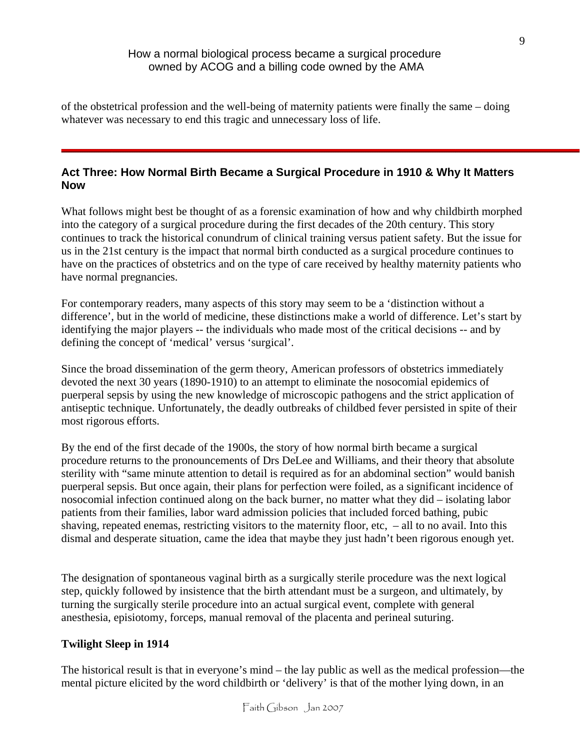of the obstetrical profession and the well-being of maternity patients were finally the same – doing whatever was necessary to end this tragic and unnecessary loss of life.

## **Act Three: How Normal Birth Became a Surgical Procedure in 1910 & Why It Matters Now**

What follows might best be thought of as a forensic examination of how and why childbirth morphed into the category of a surgical procedure during the first decades of the 20th century. This story continues to track the historical conundrum of clinical training versus patient safety. But the issue for us in the 21st century is the impact that normal birth conducted as a surgical procedure continues to have on the practices of obstetrics and on the type of care received by healthy maternity patients who have normal pregnancies.

For contemporary readers, many aspects of this story may seem to be a 'distinction without a difference', but in the world of medicine, these distinctions make a world of difference. Let's start by identifying the major players -- the individuals who made most of the critical decisions -- and by defining the concept of 'medical' versus 'surgical'.

Since the broad dissemination of the germ theory, American professors of obstetrics immediately devoted the next 30 years (1890-1910) to an attempt to eliminate the nosocomial epidemics of puerperal sepsis by using the new knowledge of microscopic pathogens and the strict application of antiseptic technique. Unfortunately, the deadly outbreaks of childbed fever persisted in spite of their most rigorous efforts.

By the end of the first decade of the 1900s, the story of how normal birth became a surgical procedure returns to the pronouncements of Drs DeLee and Williams, and their theory that absolute sterility with "same minute attention to detail is required as for an abdominal section" would banish puerperal sepsis. But once again, their plans for perfection were foiled, as a significant incidence of nosocomial infection continued along on the back burner, no matter what they did – isolating labor patients from their families, labor ward admission policies that included forced bathing, pubic shaving, repeated enemas, restricting visitors to the maternity floor, etc, – all to no avail. Into this dismal and desperate situation, came the idea that maybe they just hadn't been rigorous enough yet.

The designation of spontaneous vaginal birth as a surgically sterile procedure was the next logical step, quickly followed by insistence that the birth attendant must be a surgeon, and ultimately, by turning the surgically sterile procedure into an actual surgical event, complete with general anesthesia, episiotomy, forceps, manual removal of the placenta and perineal suturing.

## **Twilight Sleep in 1914**

The historical result is that in everyone's mind – the lay public as well as the medical profession—the mental picture elicited by the word childbirth or 'delivery' is that of the mother lying down, in an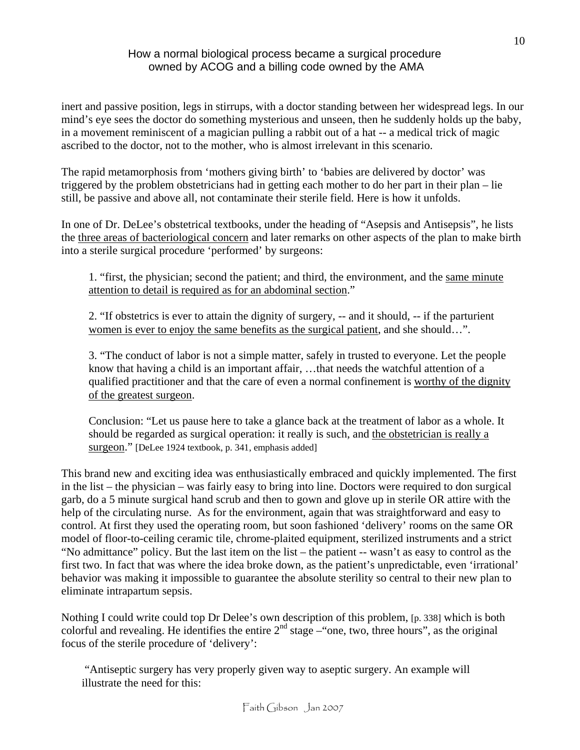inert and passive position, legs in stirrups, with a doctor standing between her widespread legs. In our mind's eye sees the doctor do something mysterious and unseen, then he suddenly holds up the baby, in a movement reminiscent of a magician pulling a rabbit out of a hat -- a medical trick of magic ascribed to the doctor, not to the mother, who is almost irrelevant in this scenario.

The rapid metamorphosis from 'mothers giving birth' to 'babies are delivered by doctor' was triggered by the problem obstetricians had in getting each mother to do her part in their plan – lie still, be passive and above all, not contaminate their sterile field. Here is how it unfolds.

In one of Dr. DeLee's obstetrical textbooks, under the heading of "Asepsis and Antisepsis", he lists the three areas of bacteriological concern and later remarks on other aspects of the plan to make birth into a sterile surgical procedure 'performed' by surgeons:

1. "first, the physician; second the patient; and third, the environment, and the same minute attention to detail is required as for an abdominal section."

2. "If obstetrics is ever to attain the dignity of surgery, -- and it should, -- if the parturient women is ever to enjoy the same benefits as the surgical patient, and she should…".

3. "The conduct of labor is not a simple matter, safely in trusted to everyone. Let the people know that having a child is an important affair, …that needs the watchful attention of a qualified practitioner and that the care of even a normal confinement is worthy of the dignity of the greatest surgeon.

Conclusion: "Let us pause here to take a glance back at the treatment of labor as a whole. It should be regarded as surgical operation: it really is such, and the obstetrician is really a surgeon." [DeLee 1924 textbook, p. 341, emphasis added]

This brand new and exciting idea was enthusiastically embraced and quickly implemented. The first in the list – the physician – was fairly easy to bring into line. Doctors were required to don surgical garb, do a 5 minute surgical hand scrub and then to gown and glove up in sterile OR attire with the help of the circulating nurse. As for the environment, again that was straightforward and easy to control. At first they used the operating room, but soon fashioned 'delivery' rooms on the same OR model of floor-to-ceiling ceramic tile, chrome-plaited equipment, sterilized instruments and a strict "No admittance" policy. But the last item on the list – the patient -- wasn't as easy to control as the first two. In fact that was where the idea broke down, as the patient's unpredictable, even 'irrational' behavior was making it impossible to guarantee the absolute sterility so central to their new plan to eliminate intrapartum sepsis.

Nothing I could write could top Dr Delee's own description of this problem, [p. 338] which is both colorful and revealing. He identifies the entire  $2<sup>nd</sup>$  stage –"one, two, three hours", as the original focus of the sterile procedure of 'delivery':

 "Antiseptic surgery has very properly given way to aseptic surgery. An example will illustrate the need for this: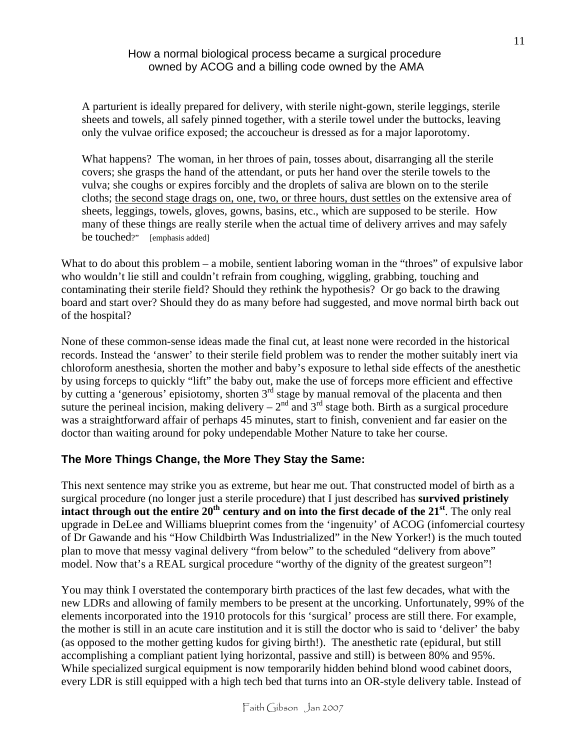A parturient is ideally prepared for delivery, with sterile night-gown, sterile leggings, sterile sheets and towels, all safely pinned together, with a sterile towel under the buttocks, leaving only the vulvae orifice exposed; the accoucheur is dressed as for a major laporotomy.

What happens? The woman, in her throes of pain, tosses about, disarranging all the sterile covers; she grasps the hand of the attendant, or puts her hand over the sterile towels to the vulva; she coughs or expires forcibly and the droplets of saliva are blown on to the sterile cloths; the second stage drags on, one, two, or three hours, dust settles on the extensive area of sheets, leggings, towels, gloves, gowns, basins, etc., which are supposed to be sterile. How many of these things are really sterile when the actual time of delivery arrives and may safely be touched?" [emphasis added]

What to do about this problem – a mobile, sentient laboring woman in the "throes" of expulsive labor who wouldn't lie still and couldn't refrain from coughing, wiggling, grabbing, touching and contaminating their sterile field? Should they rethink the hypothesis? Or go back to the drawing board and start over? Should they do as many before had suggested, and move normal birth back out of the hospital?

None of these common-sense ideas made the final cut, at least none were recorded in the historical records. Instead the 'answer' to their sterile field problem was to render the mother suitably inert via chloroform anesthesia, shorten the mother and baby's exposure to lethal side effects of the anesthetic by using forceps to quickly "lift" the baby out, make the use of forceps more efficient and effective by cutting a 'generous' episiotomy, shorten  $3<sup>rd</sup>$  stage by manual removal of the placenta and then suture the perineal incision, making delivery –  $2<sup>nd</sup>$  and  $3<sup>rd</sup>$  stage both. Birth as a surgical procedure was a straightforward affair of perhaps 45 minutes, start to finish, convenient and far easier on the doctor than waiting around for poky undependable Mother Nature to take her course.

## **The More Things Change, the More They Stay the Same:**

This next sentence may strike you as extreme, but hear me out. That constructed model of birth as a surgical procedure (no longer just a sterile procedure) that I just described has **survived pristinely**  intact through out the entire 20<sup>th</sup> century and on into the first decade of the 21<sup>st</sup>. The only real upgrade in DeLee and Williams blueprint comes from the 'ingenuity' of ACOG (infomercial courtesy of Dr Gawande and his "How Childbirth Was Industrialized" in the New Yorker!) is the much touted plan to move that messy vaginal delivery "from below" to the scheduled "delivery from above" model. Now that's a REAL surgical procedure "worthy of the dignity of the greatest surgeon"!

You may think I overstated the contemporary birth practices of the last few decades, what with the new LDRs and allowing of family members to be present at the uncorking. Unfortunately, 99% of the elements incorporated into the 1910 protocols for this 'surgical' process are still there. For example, the mother is still in an acute care institution and it is still the doctor who is said to 'deliver' the baby (as opposed to the mother getting kudos for giving birth!). The anesthetic rate (epidural, but still accomplishing a compliant patient lying horizontal, passive and still) is between 80% and 95%. While specialized surgical equipment is now temporarily hidden behind blond wood cabinet doors, every LDR is still equipped with a high tech bed that turns into an OR-style delivery table. Instead of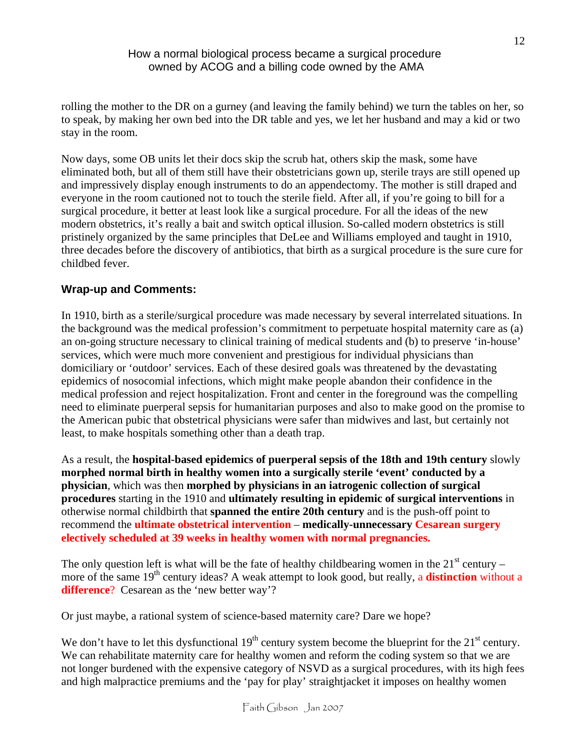rolling the mother to the DR on a gurney (and leaving the family behind) we turn the tables on her, so to speak, by making her own bed into the DR table and yes, we let her husband and may a kid or two stay in the room.

Now days, some OB units let their docs skip the scrub hat, others skip the mask, some have eliminated both, but all of them still have their obstetricians gown up, sterile trays are still opened up and impressively display enough instruments to do an appendectomy. The mother is still draped and everyone in the room cautioned not to touch the sterile field. After all, if you're going to bill for a surgical procedure, it better at least look like a surgical procedure. For all the ideas of the new modern obstetrics, it's really a bait and switch optical illusion. So-called modern obstetrics is still pristinely organized by the same principles that DeLee and Williams employed and taught in 1910, three decades before the discovery of antibiotics, that birth as a surgical procedure is the sure cure for childbed fever.

# **Wrap-up and Comments:**

In 1910, birth as a sterile/surgical procedure was made necessary by several interrelated situations. In the background was the medical profession's commitment to perpetuate hospital maternity care as (a) an on-going structure necessary to clinical training of medical students and (b) to preserve 'in-house' services, which were much more convenient and prestigious for individual physicians than domiciliary or 'outdoor' services. Each of these desired goals was threatened by the devastating epidemics of nosocomial infections, which might make people abandon their confidence in the medical profession and reject hospitalization. Front and center in the foreground was the compelling need to eliminate puerperal sepsis for humanitarian purposes and also to make good on the promise to the American pubic that obstetrical physicians were safer than midwives and last, but certainly not least, to make hospitals something other than a death trap.

As a result, the **hospital-based epidemics of puerperal sepsis of the 18th and 19th century** slowly **morphed normal birth in healthy women into a surgically sterile 'event' conducted by a physician**, which was then **morphed by physicians in an iatrogenic collection of surgical procedures** starting in the 1910 and **ultimately resulting in epidemic of surgical interventions** in otherwise normal childbirth that **spanned the entire 20th century** and is the push-off point to recommend the **ultimate obstetrical intervention** – **medically-unnecessary Cesarean surgery electively scheduled at 39 weeks in healthy women with normal pregnancies.**

The only question left is what will be the fate of healthy childbearing women in the  $21<sup>st</sup>$  century – more of the same 19<sup>th</sup> century ideas? A weak attempt to look good, but really, a **distinction** without a **difference**? Cesarean as the 'new better way'?

Or just maybe, a rational system of science-based maternity care? Dare we hope?

We don't have to let this dysfunctional  $19<sup>th</sup>$  century system become the blueprint for the  $21<sup>st</sup>$  century. We can rehabilitate maternity care for healthy women and reform the coding system so that we are not longer burdened with the expensive category of NSVD as a surgical procedures, with its high fees and high malpractice premiums and the 'pay for play' straightjacket it imposes on healthy women